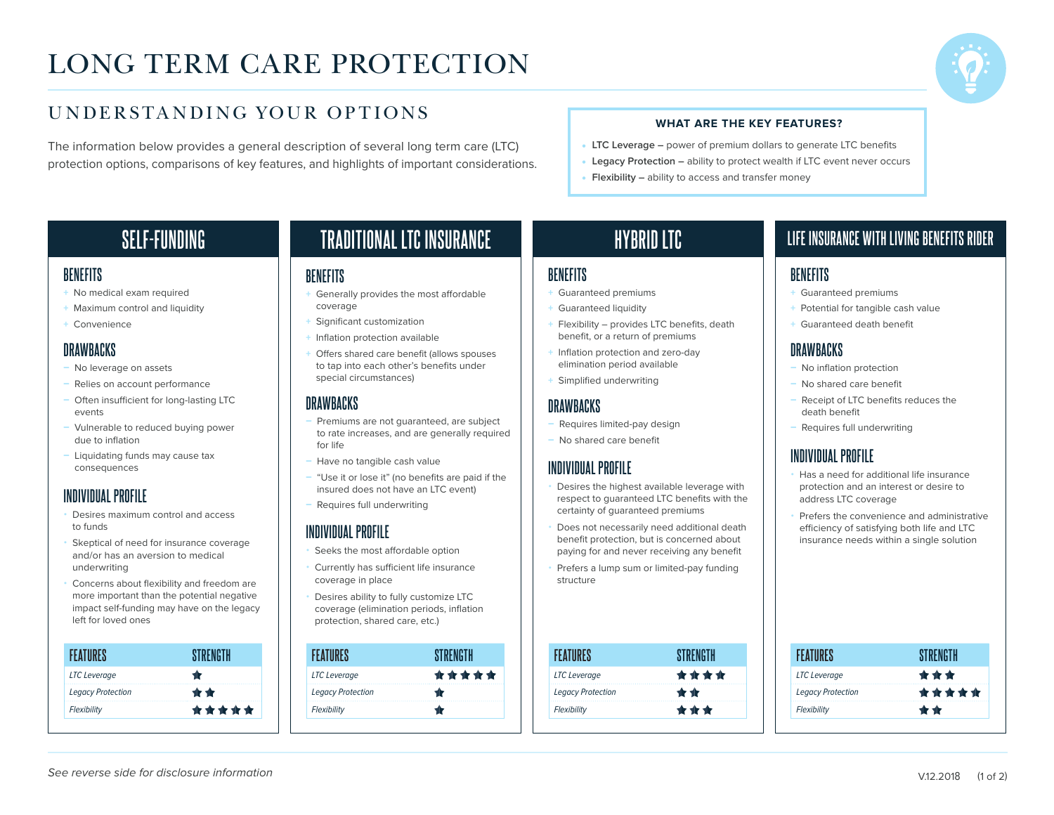# LONG TERM CARE PROTECTION



## UNDERSTANDING YOUR OPTIONS

The information below provides a general description of several long term care (LTC) protection options, comparisons of key features, and highlights of important considerations.

#### **WHAT ARE THE KEY FEATURES?**

- **LTC Leverage –** power of premium dollars to generate LTC benefits
- **Legacy Protection –** ability to protect wealth if LTC event never occurs
- **Flexibility –** ability to access and transfer money

## **SELF-FUNDING**

#### **BENEFITS**

- + No medical exam required
- + Maximum control and liquidity
- + Convenience

### **DRAWBACKS**

- No leverage on assets
- Relies on account performance
- Often insufficient for long-lasting LTC events
- Vulnerable to reduced buying power due to inflation
- Liquidating funds may cause tax consequences

## **INDIVIDUAL PROFILE**

- Desires maximum control and access to funds
- Skeptical of need for insurance coverage and/or has an aversion to medical underwriting
- Concerns about flexibility and freedom are more important than the potential negative impact self-funding may have on the legacy left for loved ones

| FFATIIRFS                |       |
|--------------------------|-------|
| <b>LTC</b> Leverage      |       |
| <b>Legacy Protection</b> | $+ +$ |
| Flexibility              | ***** |
|                          |       |

## **TRADITIONAL LTC INSURANCE**

#### **BENEFITS**

- + Generally provides the most affordable coverage
- + Significant customization
- + Inflation protection available
- + Offers shared care benefit (allows spouses to tap into each other's benefits under special circumstances)

## **DRAWBACKS**

- Premiums are not guaranteed, are subject to rate increases, and are generally required for life
- Have no tangible cash value
- "Use it or lose it" (no benefits are paid if the insured does not have an LTC event)
- Requires full underwriting

### **INDIVIDUAL PROFILE**

- Seeks the most affordable option
- Currently has sufficient life insurance coverage in place
- Desires ability to fully customize LTC coverage (elimination periods, inflation protection, shared care, etc.)

| FFAT                     |       |
|--------------------------|-------|
| <b>LTC</b> Leverage      | ***** |
| <b>Legacy Protection</b> |       |
| Flexibility              |       |

## **HYBRID LTC**

#### **BENEFITS**

- + Guaranteed premiums
- + Guaranteed liquidity
- + Flexibility provides LTC benefits, death benefit, or a return of premiums
- + Inflation protection and zero-day elimination period available
- + Simplified underwriting

### **DRAWBACKS**

- Requires limited-pay design
- No shared care benefit

### **INDIVIDUAL PROFILE**

- Desires the highest available leverage with respect to guaranteed LTC benefits with the certainty of guaranteed premiums
- Does not necessarily need additional death benefit protection, but is concerned about paying for and never receiving any benefit
- Prefers a lump sum or limited-pay funding structure

| FEATURES                 | STRENGTH |
|--------------------------|----------|
| <b>LTC</b> Leverage      | ****     |
| <b>Legacy Protection</b> | $+ +$    |
| Flexibility              | 食食术      |

## **LIFE INSURANCE WITH LIVING BENEFITS RIDER**

#### **BENEFITS**

- + Guaranteed premiums
- + Potential for tangible cash value
- + Guaranteed death benefit

## **DRAWBACKS**

- No inflation protection
- No shared care benefit
- Receipt of LTC benefits reduces the death benefit
- Requires full underwriting

## **INDIVIDUAL PROFILE**

- Has a need for additional life insurance protection and an interest or desire to address LTC coverage
- Prefers the convenience and administrative efficiency of satisfying both life and LTC insurance needs within a single solution

| <b>FEATURES</b>          | <b>STRENGTH</b> |
|--------------------------|-----------------|
| <b>LTC</b> Leverage      | ***             |
| <b>Legacy Protection</b> | *****           |
| Flexibility              | 11 11           |